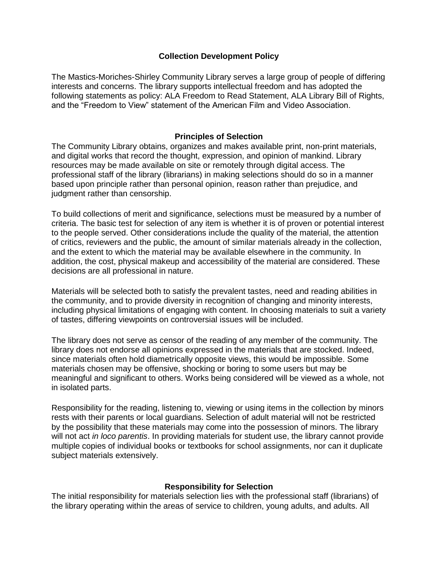# **Collection Development Policy**

The Mastics-Moriches-Shirley Community Library serves a large group of people of differing interests and concerns. The library supports intellectual freedom and has adopted the following statements as policy: ALA Freedom to Read Statement, ALA Library Bill of Rights, and the "Freedom to View" statement of the American Film and Video Association.

## **Principles of Selection**

The Community Library obtains, organizes and makes available print, non-print materials, and digital works that record the thought, expression, and opinion of mankind. Library resources may be made available on site or remotely through digital access. The professional staff of the library (librarians) in making selections should do so in a manner based upon principle rather than personal opinion, reason rather than prejudice, and judgment rather than censorship.

To build collections of merit and significance, selections must be measured by a number of criteria. The basic test for selection of any item is whether it is of proven or potential interest to the people served. Other considerations include the quality of the material, the attention of critics, reviewers and the public, the amount of similar materials already in the collection, and the extent to which the material may be available elsewhere in the community. In addition, the cost, physical makeup and accessibility of the material are considered. These decisions are all professional in nature.

Materials will be selected both to satisfy the prevalent tastes, need and reading abilities in the community, and to provide diversity in recognition of changing and minority interests, including physical limitations of engaging with content. In choosing materials to suit a variety of tastes, differing viewpoints on controversial issues will be included.

The library does not serve as censor of the reading of any member of the community. The library does not endorse all opinions expressed in the materials that are stocked. Indeed, since materials often hold diametrically opposite views, this would be impossible. Some materials chosen may be offensive, shocking or boring to some users but may be meaningful and significant to others. Works being considered will be viewed as a whole, not in isolated parts.

Responsibility for the reading, listening to, viewing or using items in the collection by minors rests with their parents or local guardians. Selection of adult material will not be restricted by the possibility that these materials may come into the possession of minors. The library will not act *in loco parentis*. In providing materials for student use, the library cannot provide multiple copies of individual books or textbooks for school assignments, nor can it duplicate subject materials extensively.

### **Responsibility for Selection**

The initial responsibility for materials selection lies with the professional staff (librarians) of the library operating within the areas of service to children, young adults, and adults. All